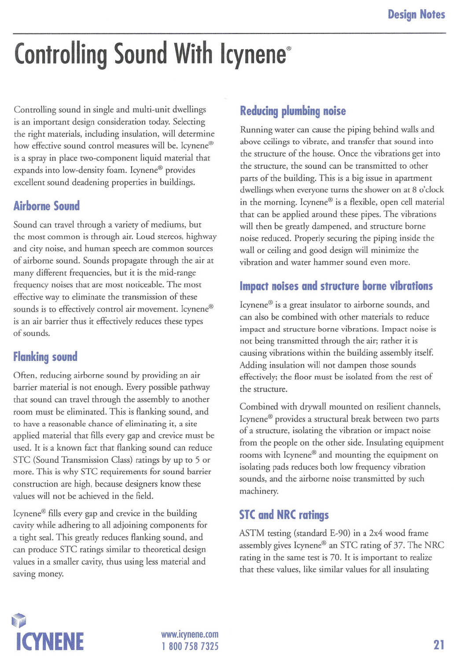# Controlling Sound With Icynene®

Controlling sound in single and multi-unit dwellings is an important design consideration today. Selecting the right materials, including insulation, will determine how effective sound control measures will be. Icynene® is a spray in place two-component liquid material that expands into low-density foam. Icynene<sup>®</sup> provides excellent sound deadening properties in buildings.

# **Airborne Sound**

Sound can travel through a variety of mediums, but the most common is through air. Loud stereos, highway and city noise, and human speech are common sources of airborne sound. Sounds propagate through the air at many different frequencies, but it is the mid-range frequency noises that are most noticeable. The most effective way to eliminate the transmission of these sounds is to effectively control air movement. Icynene® is an air barrier thus it effectively reduces these types of sounds.

## **Flanking sound**

Often, reducing airborne sound by providing an air barrier material is not enough. Every possible pathway that sound can travel through the assembly to another room must be eliminated. This is flanking sound, and to have a reasonable chance of eliminating it, a site applied material that fills every gap and crevice must be used. It is a known fact that flanking sound can reduce STC (Sound Transmission Class) ratings by up to 5 or more. This is why STC requirements for sound barrier construction are high, because designers know these values will not be achieved in the field.

Icynene@ fills every gap and crevice in the building cavity while adhering to all adjoining components for a tight seal. This greatly reduces flanking sound, and can produce STC ratings similar to theoretical design values in a smaller cavity, thus using less material and saving money.

### Reducing plumbing noise

Running water can cause the piping behind walls and above ceilings to vibrate, and transfer that sound into the structure of the house. Once the vibrations get into the structure, the sound can be transmitted to other parts of the building. This is a big issue in apartment dwellings when everyone turns the shower on at 8 o'clock in the morning. Icynene<sup>®</sup> is a flexible, open cell material that can be applied around these pipes. The vibrations will then be greatly dampened, and structure borne noise reduced. Properly securing the piping inside the wall or ceiling and good design will minimize the vibration and water hammer sound even more.

#### Impact noises and structure borne vibrations

Icynene@ is a great insulator to airborne sounds, and can also be combined with other materials to reduce impact and structure borne vibrations. Impact noise is not being transmitted through the air; rather it is causing vibrations within the building assembly itself. Adding insulation will not dampen those sounds effectively; the floor must be isolated from the rest of the structure.

Combined with drywall mounted on resilient channels, Icynene@ provides a structural break between two parts of a structure, isolating the vibration or impact noise from the people on the other side. Insulating equipment rooms with Icynene® and mounting the equipment on isolating pads reduces both low frequency vibration sounds, and the airborne noise transmitted by such machinery.

#### **STC and NRC ratings**

ASTM testing (standard E-90) in a 2x4 wood frame assembly gives Icynene@ an STC rating of 37. The NRC rating in the same test is 70. It is important to realize that these values, like similar values for all insulating



1 800 758 7325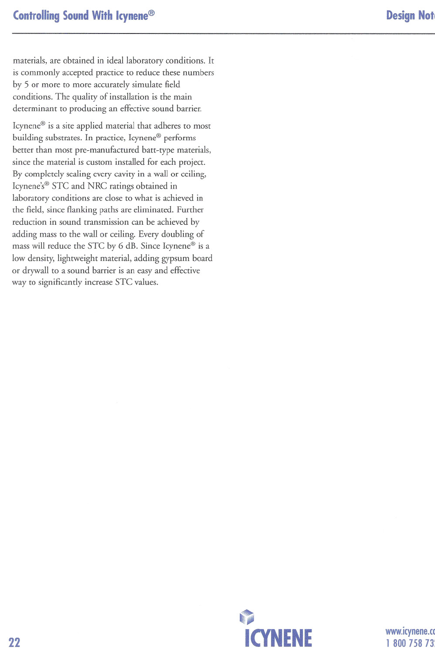materials, are obtained in ideal laboratory conditions. It is commonly accepted practice to reduce these numbers by 5 or more to more accurately simulate field conditions. The quality of installation is the main determinant to producing an effective sound barrier.

Icynene@ is a site applied material that adheres to most building substrates. In practice, Icynene<sup>®</sup> performs better than most pre-manufactured batt-type materials, since the material is custom installed for each project. By completely sealing every cavity in a wall or ceiling, Icynene's<sup>®</sup> STC and NRC ratings obtained in laboratory conditions are close to what is achieved in the field, since flanking paths are eliminated. Further reduction in sound transmission can be achieved by adding mass to the wall or ceiling. Every doubling of mass will reduce the STC by 6 dB. Since Icynene® is a low density, lightweight material, adding gypsum board or drywall to a sound barrier is an easy and effective way to significantly increase STC values.